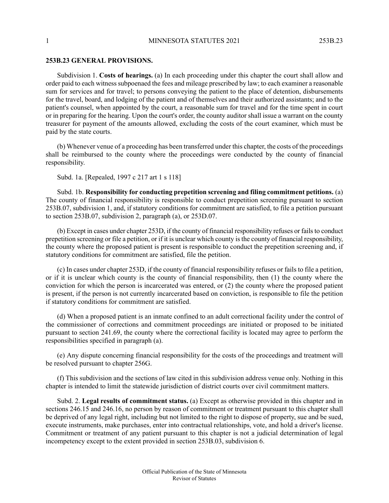## **253B.23 GENERAL PROVISIONS.**

Subdivision 1. **Costs of hearings.** (a) In each proceeding under this chapter the court shall allow and order paid to each witness subpoenaed the fees and mileage prescribed by law; to each examiner a reasonable sum for services and for travel; to persons conveying the patient to the place of detention, disbursements for the travel, board, and lodging of the patient and of themselves and their authorized assistants; and to the patient's counsel, when appointed by the court, a reasonable sum for travel and for the time spent in court or in preparing for the hearing. Upon the court's order, the county auditor shall issue a warrant on the county treasurer for payment of the amounts allowed, excluding the costs of the court examiner, which must be paid by the state courts.

(b) Whenever venue of a proceeding has been transferred under this chapter, the costs of the proceedings shall be reimbursed to the county where the proceedings were conducted by the county of financial responsibility.

Subd. 1a. [Repealed, 1997 c 217 art 1 s 118]

Subd. 1b. **Responsibility for conducting prepetition screening and filing commitment petitions.** (a) The county of financial responsibility is responsible to conduct prepetition screening pursuant to section 253B.07, subdivision 1, and, if statutory conditions for commitment are satisfied, to file a petition pursuant to section 253B.07, subdivision 2, paragraph (a), or 253D.07.

(b) Except in cases under chapter 253D, if the county of financial responsibility refuses or fails to conduct prepetition screening or file a petition, or if it is unclear which county is the county of financial responsibility, the county where the proposed patient is present is responsible to conduct the prepetition screening and, if statutory conditions for commitment are satisfied, file the petition.

(c) In cases under chapter 253D, if the county of financial responsibility refuses or fails to file a petition, or if it is unclear which county is the county of financial responsibility, then (1) the county where the conviction for which the person is incarcerated was entered, or (2) the county where the proposed patient is present, if the person is not currently incarcerated based on conviction, is responsible to file the petition if statutory conditions for commitment are satisfied.

(d) When a proposed patient is an inmate confined to an adult correctional facility under the control of the commissioner of corrections and commitment proceedings are initiated or proposed to be initiated pursuant to section 241.69, the county where the correctional facility is located may agree to perform the responsibilities specified in paragraph (a).

(e) Any dispute concerning financial responsibility for the costs of the proceedings and treatment will be resolved pursuant to chapter 256G.

(f) This subdivision and the sections of law cited in this subdivision address venue only. Nothing in this chapter is intended to limit the statewide jurisdiction of district courts over civil commitment matters.

Subd. 2. **Legal results of commitment status.** (a) Except as otherwise provided in this chapter and in sections 246.15 and 246.16, no person by reason of commitment or treatment pursuant to this chapter shall be deprived of any legal right, including but not limited to the right to dispose of property, sue and be sued, execute instruments, make purchases, enter into contractual relationships, vote, and hold a driver's license. Commitment or treatment of any patient pursuant to this chapter is not a judicial determination of legal incompetency except to the extent provided in section 253B.03, subdivision 6.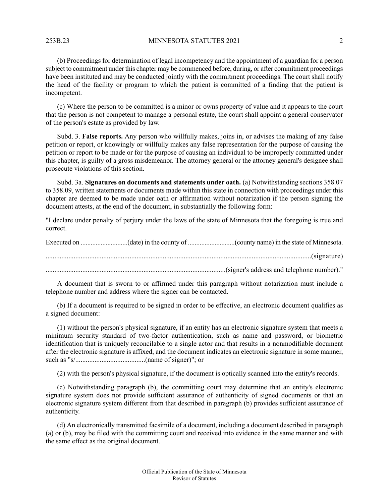253B.23 MINNESOTA STATUTES 2021 2

(b) Proceedings for determination of legal incompetency and the appointment of a guardian for a person subject to commitment under this chapter may be commenced before, during, or after commitment proceedings have been instituted and may be conducted jointly with the commitment proceedings. The court shall notify the head of the facility or program to which the patient is committed of a finding that the patient is incompetent.

(c) Where the person to be committed is a minor or owns property of value and it appears to the court that the person is not competent to manage a personal estate, the court shall appoint a general conservator of the person's estate as provided by law.

Subd. 3. **False reports.** Any person who willfully makes, joins in, or advises the making of any false petition or report, or knowingly or willfully makes any false representation for the purpose of causing the petition or report to be made or for the purpose of causing an individual to be improperly committed under this chapter, is guilty of a gross misdemeanor. The attorney general or the attorney general's designee shall prosecute violations of this section.

Subd. 3a. **Signatures on documents and statements under oath.** (a) Notwithstanding sections 358.07 to 358.09, written statements or documents made within this state in connection with proceedings under this chapter are deemed to be made under oath or affirmation without notarization if the person signing the document attests, at the end of the document, in substantially the following form:

"I declare under penalty of perjury under the laws of the state of Minnesota that the foregoing is true and correct.

Executed on ............................(date) in the county of ............................(county name) in the state of Minnesota. ........................................................................................................................................................(signature) .......................................................................................................(signer's address and telephone number)."

A document that is sworn to or affirmed under this paragraph without notarization must include a telephone number and address where the signer can be contacted.

(b) If a document is required to be signed in order to be effective, an electronic document qualifies as a signed document:

(1) without the person's physical signature, if an entity has an electronic signature system that meets a minimum security standard of two-factor authentication, such as name and password, or biometric identification that is uniquely reconcilable to a single actor and that results in a nonmodifiable document after the electronic signature is affixed, and the document indicates an electronic signature in some manner, such as "s/........................................(name of signer)"; or

(2) with the person's physical signature, if the document is optically scanned into the entity's records.

(c) Notwithstanding paragraph (b), the committing court may determine that an entity's electronic signature system does not provide sufficient assurance of authenticity of signed documents or that an electronic signature system different from that described in paragraph (b) provides sufficient assurance of authenticity.

(d) An electronically transmitted facsimile of a document, including a document described in paragraph (a) or (b), may be filed with the committing court and received into evidence in the same manner and with the same effect as the original document.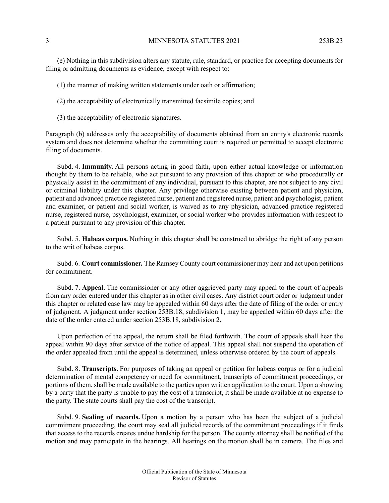(e) Nothing in this subdivision alters any statute, rule, standard, or practice for accepting documents for filing or admitting documents as evidence, except with respect to:

- (1) the manner of making written statements under oath or affirmation;
- (2) the acceptability of electronically transmitted facsimile copies; and
- (3) the acceptability of electronic signatures.

Paragraph (b) addresses only the acceptability of documents obtained from an entity's electronic records system and does not determine whether the committing court is required or permitted to accept electronic filing of documents.

Subd. 4. **Immunity.** All persons acting in good faith, upon either actual knowledge or information thought by them to be reliable, who act pursuant to any provision of this chapter or who procedurally or physically assist in the commitment of any individual, pursuant to this chapter, are not subject to any civil or criminal liability under this chapter. Any privilege otherwise existing between patient and physician, patient and advanced practice registered nurse, patient and registered nurse, patient and psychologist, patient and examiner, or patient and social worker, is waived as to any physician, advanced practice registered nurse, registered nurse, psychologist, examiner, or social worker who provides information with respect to a patient pursuant to any provision of this chapter.

Subd. 5. **Habeas corpus.** Nothing in this chapter shall be construed to abridge the right of any person to the writ of habeas corpus.

Subd. 6. **Court commissioner.** The Ramsey County court commissioner may hear and act upon petitions for commitment.

Subd. 7. **Appeal.** The commissioner or any other aggrieved party may appeal to the court of appeals from any order entered under this chapter as in other civil cases. Any district court order or judgment under this chapter or related case law may be appealed within 60 days after the date of filing of the order or entry of judgment. A judgment under section 253B.18, subdivision 1, may be appealed within 60 days after the date of the order entered under section 253B.18, subdivision 2.

Upon perfection of the appeal, the return shall be filed forthwith. The court of appeals shall hear the appeal within 90 days after service of the notice of appeal. This appeal shall not suspend the operation of the order appealed from until the appeal is determined, unless otherwise ordered by the court of appeals.

Subd. 8. **Transcripts.** For purposes of taking an appeal or petition for habeas corpus or for a judicial determination of mental competency or need for commitment, transcripts of commitment proceedings, or portions of them, shall be made available to the parties upon written application to the court. Upon a showing by a party that the party is unable to pay the cost of a transcript, it shall be made available at no expense to the party. The state courts shall pay the cost of the transcript.

Subd. 9. **Sealing of records.** Upon a motion by a person who has been the subject of a judicial commitment proceeding, the court may seal all judicial records of the commitment proceedings if it finds that access to the records creates undue hardship for the person. The county attorney shall be notified of the motion and may participate in the hearings. All hearings on the motion shall be in camera. The files and